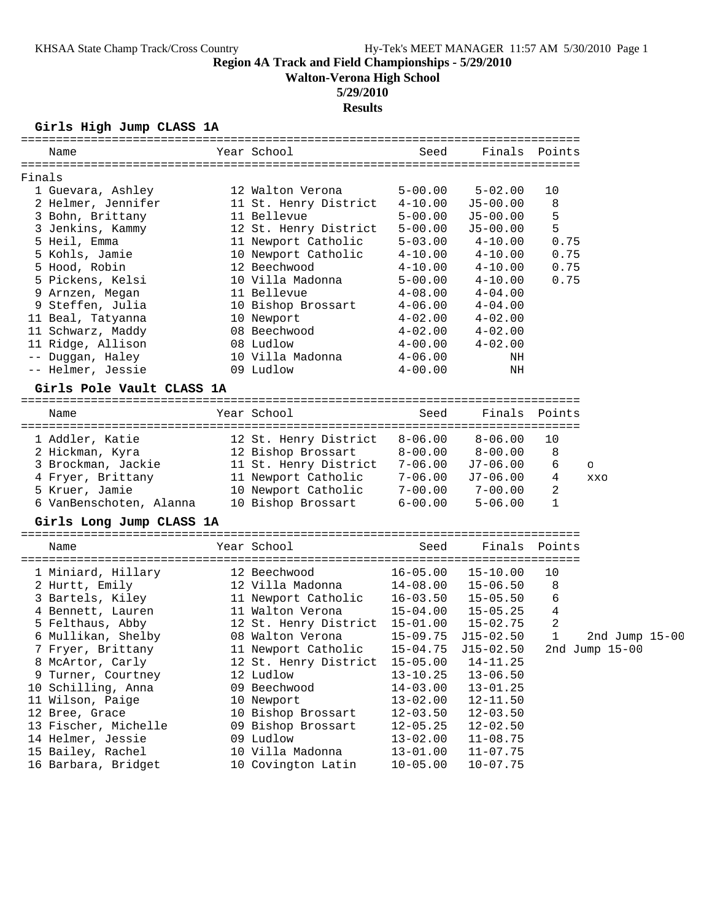**Walton-Verona High School**

# **5/29/2010**

**Results**

**Girls High Jump CLASS 1A**

| Name                      | Year School                    | Seed         | Finals        | Points       |                  |
|---------------------------|--------------------------------|--------------|---------------|--------------|------------------|
| Finals                    |                                |              |               |              |                  |
| 1 Guevara, Ashley         | 12 Walton Verona               | $5 - 00.00$  | $5 - 02.00$   | 10           |                  |
| 2 Helmer, Jennifer        | 11 St. Henry District          | $4 - 10.00$  | $J5 - 00.00$  | 8            |                  |
| 3 Bohn, Brittany          | 11 Bellevue                    | $5 - 00.00$  | $J5 - 00.00$  | 5            |                  |
| 3 Jenkins, Kammy          | 12 St. Henry District          | $5 - 00.00$  | $J5-00.00$    | 5            |                  |
| 5 Heil, Emma              | 11 Newport Catholic            | $5 - 03.00$  | $4 - 10.00$   | 0.75         |                  |
| 5 Kohls, Jamie            | 10 Newport Catholic            | $4 - 10.00$  | $4 - 10.00$   | 0.75         |                  |
| 5 Hood, Robin             | 12 Beechwood                   | $4 - 10.00$  | $4 - 10.00$   | 0.75         |                  |
| 5 Pickens, Kelsi          | 10 Villa Madonna               | $5 - 00.00$  | $4 - 10.00$   | 0.75         |                  |
| 9 Arnzen, Megan           | 11 Bellevue                    | $4 - 08.00$  | $4 - 04.00$   |              |                  |
| 9 Steffen, Julia          | 10 Bishop Brossart             | $4 - 06.00$  | $4 - 04.00$   |              |                  |
|                           |                                |              |               |              |                  |
| 11 Beal, Tatyanna         | 10 Newport<br>08 Beechwood     | $4 - 02.00$  | $4 - 02.00$   |              |                  |
| 11 Schwarz, Maddy         |                                | $4 - 02.00$  | $4 - 02.00$   |              |                  |
| 11 Ridge, Allison         | 08 Ludlow                      | $4 - 00.00$  | $4 - 02.00$   |              |                  |
| -- Duggan, Haley          | 10 Villa Madonna               | 4-06.00      | NH            |              |                  |
| -- Helmer, Jessie         | 09 Ludlow                      | $4 - 00.00$  | ΝH            |              |                  |
| Girls Pole Vault CLASS 1A |                                |              |               |              |                  |
| Name                      | Year School                    | Seed         | Finals        | Points       |                  |
| 1 Addler, Katie           | 12 St. Henry District          | $8 - 06.00$  | $8 - 06.00$   | 10           |                  |
| 2 Hickman, Kyra           | 12 Bishop Brossart             | $8-00.00$    | $8 - 00.00$   | 8            |                  |
| 3 Brockman, Jackie        | 11 St. Henry District          | 7-06.00      | J7-06.00      | 6            | $\circ$          |
| 4 Fryer, Brittany         | 11 Newport Catholic            | 7-06.00      | J7-06.00      | 4            | XXO              |
| 5 Kruer, Jamie            | 10 Newport Catholic            | $7 - 00.00$  | $7 - 00.00$   | 2            |                  |
| 6 VanBenschoten, Alanna   | 10 Bishop Brossart             | $6 - 00.00$  | $5 - 06.00$   | $\mathbf{1}$ |                  |
| Girls Long Jump CLASS 1A  |                                |              |               |              |                  |
| Name                      | Year School                    | Seed         | Finals        | Points       |                  |
| 1 Miniard, Hillary        | 12 Beechwood                   | $16 - 05.00$ | $15 - 10.00$  | 10           |                  |
| 2 Hurtt, Emily            | 12 Villa Madonna               | 14-08.00     | $15 - 06.50$  | 8            |                  |
| 3 Bartels, Kiley          | 11 Newport Catholic            | 16-03.50     | $15 - 05.50$  | 6            |                  |
| 4 Bennett, Lauren         | 11 Walton Verona               | $15 - 04.00$ | $15 - 05.25$  | 4            |                  |
| 5 Felthaus, Abby          | 12 St. Henry District 15-01.00 |              | $15 - 02.75$  | 2            |                  |
| 6 Mullikan, Shelby        | 08 Walton Verona               | $15 - 09.75$ | $J15 - 02.50$ | 1            | 2nd Jump 15-00   |
| 7 Fryer, Brittany         | 11 Newport Catholic            | $15 - 04.75$ | $J15 - 02.50$ |              | 2nd Jump $15-00$ |
| 8 McArtor, Carly          | 12 St. Henry District          | $15 - 05.00$ | $14 - 11.25$  |              |                  |
| 9 Turner, Courtney        | 12 Ludlow                      | $13 - 10.25$ | $13 - 06.50$  |              |                  |
| 10 Schilling, Anna        | 09 Beechwood                   | $14 - 03.00$ | $13 - 01.25$  |              |                  |
| 11 Wilson, Paige          |                                |              |               |              |                  |
|                           | 10 Newport                     | $13 - 02.00$ | $12 - 11.50$  |              |                  |
| 12 Bree, Grace            | 10 Bishop Brossart             | $12 - 03.50$ | $12 - 03.50$  |              |                  |
| 13 Fischer, Michelle      | 09 Bishop Brossart             | $12 - 05.25$ | $12 - 02.50$  |              |                  |
| 14 Helmer, Jessie         | 09 Ludlow                      | $13 - 02.00$ | $11 - 08.75$  |              |                  |
| 15 Bailey, Rachel         | 10 Villa Madonna               | $13 - 01.00$ | $11 - 07.75$  |              |                  |
| 16 Barbara, Bridget       | 10 Covington Latin             | $10 - 05.00$ | $10 - 07.75$  |              |                  |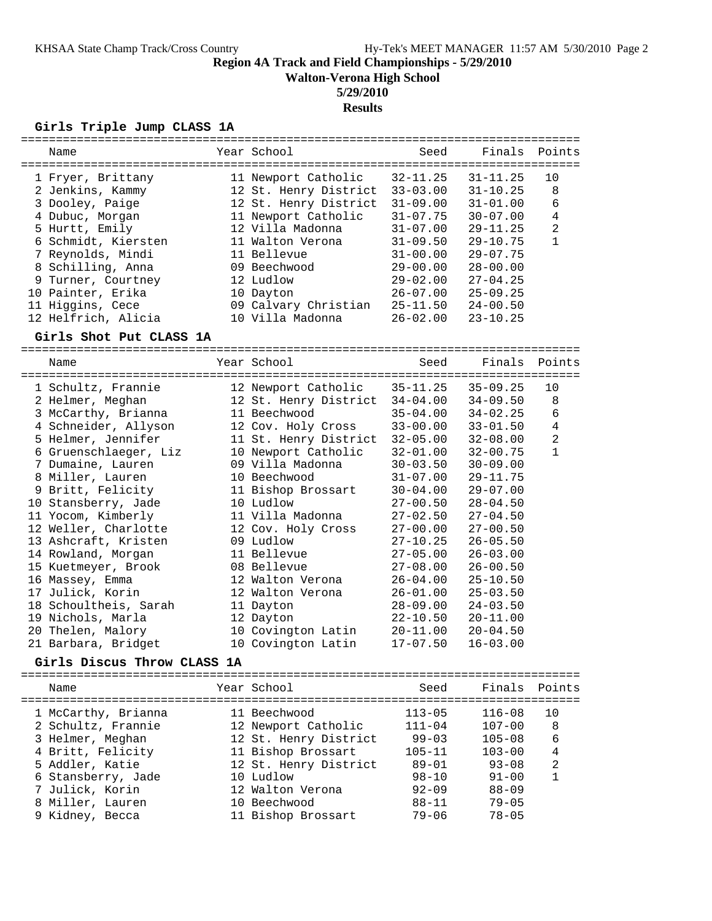**Walton-Verona High School**

# **5/29/2010**

## **Results**

## **Girls Triple Jump CLASS 1A**

| ============                          |                       |              | ================================== |                |
|---------------------------------------|-----------------------|--------------|------------------------------------|----------------|
| Name                                  | Year School           | Seed         | Finals                             | Points         |
|                                       |                       |              |                                    |                |
| 1 Fryer, Brittany                     | 11 Newport Catholic   | $32 - 11.25$ | $31 - 11.25$                       | 10             |
| 2 Jenkins, Kammy                      | 12 St. Henry District | $33 - 03.00$ | $31 - 10.25$                       | 8              |
| 3 Dooley, Paige                       | 12 St. Henry District | $31 - 09.00$ | $31 - 01.00$                       | 6              |
| 4 Dubuc, Morgan                       | 11 Newport Catholic   | $31 - 07.75$ | $30 - 07.00$                       | 4              |
| 5 Hurtt, Emily                        | 12 Villa Madonna      | $31 - 07.00$ | 29-11.25                           | $\overline{2}$ |
| 6 Schmidt, Kiersten                   | 11 Walton Verona      | $31 - 09.50$ | $29 - 10.75$                       | $\mathbf{1}$   |
| 7 Reynolds, Mindi                     | 11 Bellevue           | $31 - 00.00$ | $29 - 07.75$                       |                |
| 8 Schilling, Anna                     | 09 Beechwood          | $29 - 00.00$ | $28 - 00.00$                       |                |
| 9 Turner, Courtney                    | 12 Ludlow             | $29 - 02.00$ | $27 - 04.25$                       |                |
| 10 Painter, Erika                     | 10 Dayton             | $26 - 07.00$ | $25 - 09.25$                       |                |
| 11 Higgins, Cece                      | 09 Calvary Christian  | $25 - 11.50$ | $24 - 00.50$                       |                |
| 12 Helfrich, Alicia                   | 10 Villa Madonna      | $26 - 02.00$ | $23 - 10.25$                       |                |
|                                       |                       |              |                                    |                |
| Girls Shot Put CLASS 1A               |                       |              |                                    |                |
| Name                                  | Year School           | Seed         | Finals                             | Points         |
|                                       |                       |              |                                    |                |
| 1 Schultz, Frannie                    | 12 Newport Catholic   | $35 - 11.25$ | $35 - 09.25$                       | 10             |
| 2 Helmer, Meghan                      | 12 St. Henry District | $34 - 04.00$ | $34 - 09.50$                       | 8              |
| 3 McCarthy, Brianna                   | 11 Beechwood          | $35 - 04.00$ | $34 - 02.25$                       | 6              |
| 4 Schneider, Allyson                  | 12 Cov. Holy Cross    | $33 - 00.00$ | $33 - 01.50$                       | $\overline{4}$ |
|                                       |                       |              |                                    | $\overline{2}$ |
| 5 Helmer, Jennifer                    | 11 St. Henry District | $32 - 05.00$ | $32 - 08.00$                       |                |
| 6 Gruenschlaeger, Liz                 | 10 Newport Catholic   | $32 - 01.00$ | $32 - 00.75$                       | $\mathbf{1}$   |
| 7 Dumaine, Lauren                     | 09 Villa Madonna      | $30 - 03.50$ | $30 - 09.00$                       |                |
| 8 Miller, Lauren                      | 10 Beechwood          | $31 - 07.00$ | 29-11.75                           |                |
| 9 Britt, Felicity                     | 11 Bishop Brossart    | $30 - 04.00$ | $29 - 07.00$                       |                |
| 10 Stansberry, Jade                   | 10 Ludlow             | 27-00.50     | $28 - 04.50$                       |                |
| 11 Yocom, Kimberly                    | 11 Villa Madonna      | $27 - 02.50$ | $27 - 04.50$                       |                |
| 12 Weller, Charlotte                  | 12 Cov. Holy Cross    | $27 - 00.00$ | $27 - 00.50$                       |                |
| 13 Ashcraft, Kristen                  | 09 Ludlow             | 27-10.25     | $26 - 05.50$                       |                |
| 14 Rowland, Morgan                    | 11 Bellevue           | $27 - 05.00$ | $26 - 03.00$                       |                |
| 15 Kuetmeyer, Brook                   | 08 Bellevue           | $27 - 08.00$ | 26-00.50                           |                |
| 16 Massey, Emma                       | 12 Walton Verona      | 26-04.00     | $25 - 10.50$                       |                |
| 17 Julick, Korin                      | 12 Walton Verona      | $26 - 01.00$ | $25 - 03.50$                       |                |
| 18 Schoultheis, Sarah                 | 11 Dayton             | $28 - 09.00$ | $24 - 03.50$                       |                |
| 19 Nichols, Marla                     | 12 Dayton             | $22 - 10.50$ | $20 - 11.00$                       |                |
| 20 Thelen, Malory                     | 10 Covington Latin    | $20 - 11.00$ | $20 - 04.50$                       |                |
| 21 Barbara, Bridget                   | 10 Covington Latin    | $17 - 07.50$ | $16 - 03.00$                       |                |
| Girls Discus Throw CLASS 1A           |                       |              |                                    |                |
|                                       |                       |              |                                    |                |
| Name                                  | Year School           | Seed         | Finals                             | Points         |
| 1 McCarthy, Brianna                   | 11 Beechwood          | $113 - 05$   | $116 - 08$                         | 10             |
| 2 Schultz, Frannie                    | 12 Newport Catholic   | $111 - 04$   | $107 - 00$                         | 8              |
| 3 Helmer, Meghan                      | 12 St. Henry District | $99 - 03$    | $105 - 08$                         | 6              |
| 4 Britt, Felicity                     | 11 Bishop Brossart    | $105 - 11$   | $103 - 00$                         | 4              |
| 5 Addler, Katie                       | 12 St. Henry District | $89 - 01$    | $93 - 08$                          | 2              |
|                                       | 10 Ludlow             | $98 - 10$    | $91 - 00$                          | $\mathbf{1}$   |
| 6 Stansberry, Jade<br>7 Julick, Korin | 12 Walton Verona      | $92 - 09$    | $88 - 09$                          |                |
|                                       |                       |              |                                    |                |
| 8 Miller, Lauren                      | 10 Beechwood          | $88 - 11$    | $79 - 05$                          |                |
| 9 Kidney, Becca                       | 11 Bishop Brossart    | $79 - 06$    | $78 - 05$                          |                |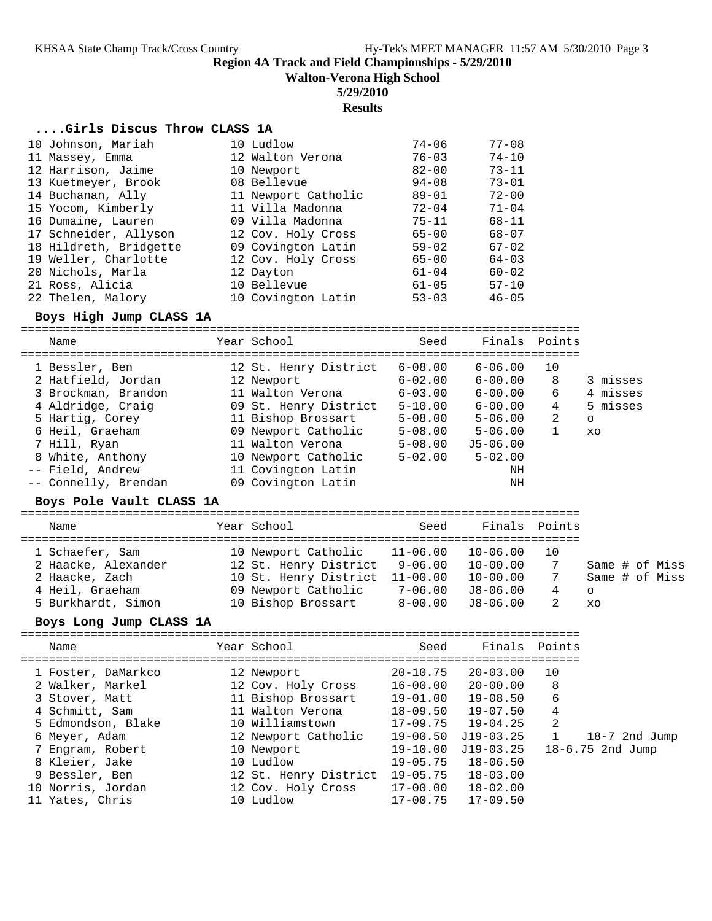**Walton-Verona High School**

## **5/29/2010**

**Results**

#### **....Girls Discus Throw CLASS 1A**

| 10 Johnson, Mariah     | 10 Ludlow           | $74 - 06$ | $77 - 08$ |
|------------------------|---------------------|-----------|-----------|
| 11 Massey, Emma        | 12 Walton Verona    | $76 - 03$ | $74 - 10$ |
| 12 Harrison, Jaime     | 10 Newport          | $82 - 00$ | $73 - 11$ |
| 13 Kuetmeyer, Brook    | 08 Bellevue         | $94 - 08$ | $73 - 01$ |
| 14 Buchanan, Ally      | 11 Newport Catholic | $89 - 01$ | $72 - 00$ |
| 15 Yocom, Kimberly     | 11 Villa Madonna    | $72 - 04$ | $71 - 04$ |
| 16 Dumaine, Lauren     | 09 Villa Madonna    | $75 - 11$ | $68 - 11$ |
| 17 Schneider, Allyson  | 12 Cov. Holy Cross  | $65 - 00$ | $68 - 07$ |
| 18 Hildreth, Bridgette | 09 Covington Latin  | $59 - 02$ | $67 - 02$ |
| 19 Weller, Charlotte   | 12 Cov. Holy Cross  | $65 - 00$ | $64 - 03$ |
| 20 Nichols, Marla      | 12 Dayton           | $61 - 04$ | $60 - 02$ |
| 21 Ross, Alicia        | 10 Bellevue         | $61 - 05$ | $57 - 10$ |
| 22 Thelen, Malory      | 10 Covington Latin  | $53 - 03$ | $46 - 05$ |

### **Boys High Jump CLASS 1A**

================================================================================ Name Year School Seed Finals Points

### **Boys Pole Vault CLASS 1A**

================================================================================ Seed Finals Points

| Name                | rear ponooi                    | seea    | Finais Poincs |    |                |
|---------------------|--------------------------------|---------|---------------|----|----------------|
| 1 Schaefer, Sam     | 10 Newport Catholic 11-06.00   |         | 10-06.00      | 10 |                |
| 2 Haacke, Alexander | 12 St. Henry District 9-06.00  |         | 10-00.00      |    | Same # of Miss |
| 2 Haacke, Zach      | 10 St. Henry District 11-00.00 |         | 10-00.00      |    | Same # of Miss |
| 4 Heil, Graeham     | 09 Newport Catholic            | 7-06.00 | J8-06.00      | 4  | $\circ$        |
| 5 Burkhardt, Simon  | 10 Bishop Brossart             | 8-00.00 | J8-06.00      |    | xo             |
|                     |                                |         |               |    |                |

## **Boys Long Jump CLASS 1A**

| Name                                                                                                                                                    | Year School                                                                                                                                     | Seed                                                                                                     | Finals Points                                                                                        |                                           |                                       |
|---------------------------------------------------------------------------------------------------------------------------------------------------------|-------------------------------------------------------------------------------------------------------------------------------------------------|----------------------------------------------------------------------------------------------------------|------------------------------------------------------------------------------------------------------|-------------------------------------------|---------------------------------------|
| 1 Foster, DaMarkco<br>2 Walker, Markel<br>3 Stover, Matt<br>4 Schmitt, Sam<br>5 Edmondson, Blake<br>6 Meyer, Adam<br>7 Engram, Robert<br>8 Kleier, Jake | 12 Newport<br>12 Cov. Holy Cross<br>11 Bishop Brossart<br>11 Walton Verona<br>10 Williamstown<br>12 Newport Catholic<br>10 Newport<br>10 Ludlow | $20 - 10.75$<br>16-00.00<br>19-01.00<br>$18 - 09.50$<br>17-09.75<br>19-00.50<br>$19 - 10.00$<br>19-05.75 | 20-03.00<br>20-00.00<br>19-08.50<br>19-07.50<br>$19 - 04.25$<br>$J19-03.25$<br>J19-03.25<br>18-06.50 | 10<br>- 8<br>6<br>4<br>-2<br>$\mathbf{1}$ | 18-7 2nd Jump<br>$18 - 6.75$ 2nd Jump |
| 9 Bessler, Ben<br>10 Norris, Jordan<br>11 Yates, Chris                                                                                                  | 12 St. Henry District<br>12 Cov. Holy Cross<br>10 Ludlow                                                                                        | 19-05.75<br>17-00.00<br>17-00.75                                                                         | $18 - 03.00$<br>18-02.00<br>$17 - 09.50$                                                             |                                           |                                       |
|                                                                                                                                                         |                                                                                                                                                 |                                                                                                          |                                                                                                      |                                           |                                       |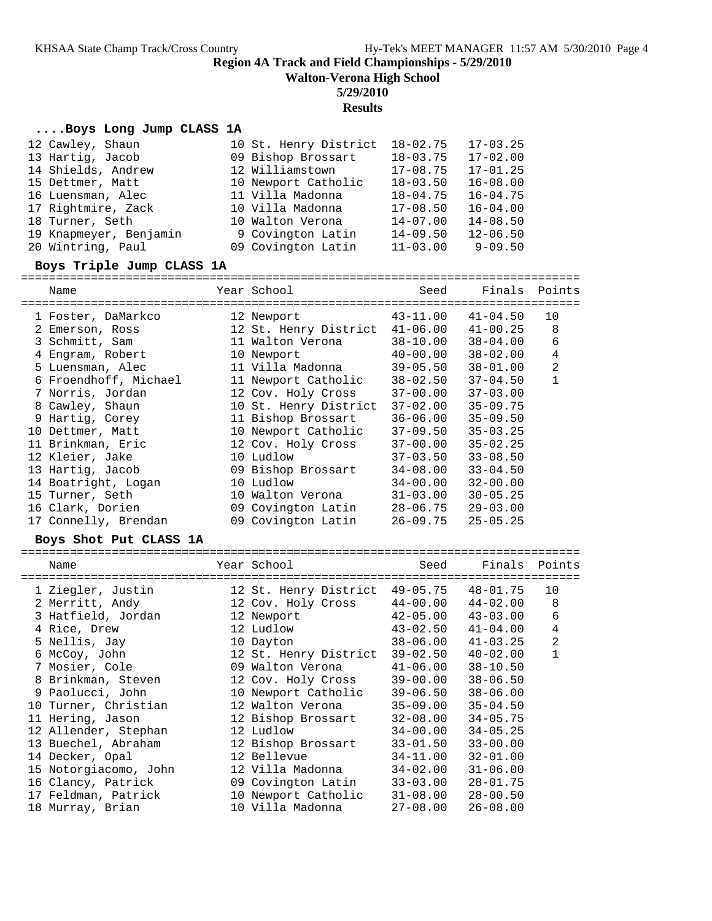**Walton-Verona High School**

#### **5/29/2010**

#### **Results**

#### **....Boys Long Jump CLASS 1A**

| 12 Cawley, Shaun       | 10 St. Henry District | $18 - 02.75$ | $17 - 03.25$ |
|------------------------|-----------------------|--------------|--------------|
| 13 Hartig, Jacob       | 09 Bishop Brossart    | $18 - 03.75$ | $17 - 02.00$ |
| 14 Shields, Andrew     | 12 Williamstown       | $17 - 08.75$ | $17 - 01.25$ |
| 15 Dettmer, Matt       | 10 Newport Catholic   | $18 - 03.50$ | $16 - 08.00$ |
| 16 Luensman, Alec      | 11 Villa Madonna      | $18 - 04.75$ | $16 - 04.75$ |
| 17 Rightmire, Zack     | 10 Villa Madonna      | $17 - 08.50$ | $16 - 04.00$ |
| 18 Turner, Seth        | 10 Walton Verona      | $14 - 07.00$ | $14 - 08.50$ |
| 19 Knapmeyer, Benjamin | 9 Covington Latin     | $14 - 09.50$ | $12 - 06.50$ |
| 20 Wintring, Paul      | 09 Covington Latin    | $11 - 03.00$ | $9 - 09.50$  |

#### **Boys Triple Jump CLASS 1A**

================================================================================

| Name                  | Year School           | Seed         | Finals       | Points         |
|-----------------------|-----------------------|--------------|--------------|----------------|
| 1 Foster, DaMarkco    | 12 Newport            | 43-11.00     | $41 - 04.50$ | 10             |
| 2 Emerson, Ross       | 12 St. Henry District | $41 - 06.00$ | $41 - 00.25$ | 8              |
| 3 Schmitt, Sam        | 11 Walton Verona      | $38 - 10.00$ | $38 - 04.00$ | 6              |
| 4 Engram, Robert      | 10 Newport            | $40 - 00.00$ | $38 - 02.00$ | $\overline{4}$ |
| 5 Luensman, Alec      | 11 Villa Madonna      | $39 - 05.50$ | $38 - 01.00$ | $\overline{2}$ |
| 6 Froendhoff, Michael | 11 Newport Catholic   | $38 - 02.50$ | $37 - 04.50$ | $\mathbf 1$    |
| 7 Norris, Jordan      | 12 Cov. Holy Cross    | $37 - 00.00$ | $37 - 03.00$ |                |
| 8 Cawley, Shaun       | 10 St. Henry District | $37 - 02.00$ | $35 - 09.75$ |                |
| 9 Hartig, Corey       | 11 Bishop Brossart    | $36 - 06.00$ | $35 - 09.50$ |                |
| 10 Dettmer, Matt      | 10 Newport Catholic   | $37 - 09.50$ | $35 - 03.25$ |                |
| 11 Brinkman, Eric     | 12 Cov. Holy Cross    | $37 - 00.00$ | $35 - 02.25$ |                |
| 12 Kleier, Jake       | 10 Ludlow             | $37 - 03.50$ | $33 - 08.50$ |                |
| 13 Hartig, Jacob      | 09 Bishop Brossart    | $34 - 08.00$ | $33 - 04.50$ |                |
| 14 Boatright, Logan   | 10 Ludlow             | $34 - 00.00$ | $32 - 00.00$ |                |
| 15 Turner, Seth       | 10 Walton Verona      | $31 - 03.00$ | $30 - 05.25$ |                |
| 16 Clark, Dorien      | 09 Covington Latin    | 28-06.75     | $29 - 03.00$ |                |
| 17 Connelly, Brendan  | 09 Covington Latin    | $26 - 09.75$ | $25 - 05.25$ |                |
|                       |                       |              |              |                |

#### **Boys Shot Put CLASS 1A**

================================================================================ Name The Year School Seed Finals Points ================================================================================ 1 Ziegler, Justin 12 St. Henry District 49-05.75 48-01.75 10 2 Merritt, Andy 12 Cov. Holy Cross 44-00.00 44-02.00 8 3 Hatfield, Jordan 12 Newport 42-05.00 43-03.00 6 4 Rice, Drew 12 Ludlow 43-02.50 41-04.00 4 5 Nellis, Jay 10 Dayton 38-06.00 41-03.25 2 6 McCoy, John 12 St. Henry District 39-02.50 40-02.00 1 7 Mosier, Cole 09 Walton Verona 41-06.00 38-10.50 8 Brinkman, Steven 12 Cov. Holy Cross 39-00.00 38-06.50 9 Paolucci, John 10 Newport Catholic 39-06.50 38-06.00 10 Turner, Christian 12 Walton Verona 35-09.00 35-04.50 11 Hering, Jason 12 Bishop Brossart 32-08.00 34-05.75 12 Allender, Stephan 12 Ludlow 34-00.00 34-05.25 13 Buechel, Abraham 12 Bishop Brossart 33-01.50 33-00.00 14 Decker, Opal 12 Bellevue 34-11.00 32-01.00 15 Notorgiacomo, John 12 Villa Madonna 34-02.00 31-06.00 16 Clancy, Patrick 09 Covington Latin 33-03.00 28-01.75 17 Feldman, Patrick 10 Newport Catholic 31-08.00 28-00.50 18 Murray, Brian 10 Villa Madonna 27-08.00 26-08.00